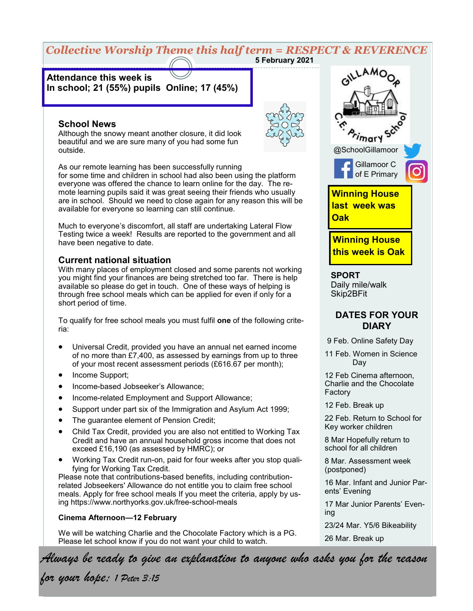### *Collective Worship Theme this half term = RESPECT & REVERENCE* **5 February 2021**

# **Attendance this week is In school; 21 (55%) pupils Online; 17 (45%)**

### **School News**

Although the snowy meant another closure, it did look beautiful and we are sure many of you had some fun outside.

As our remote learning has been successfully running for some time and children in school had also been using the platform everyone was offered the chance to learn online for the day. The remote learning pupils said it was great seeing their friends who usually are in school. Should we need to close again for any reason this will be available for everyone so learning can still continue.

Much to everyone's discomfort, all staff are undertaking Lateral Flow Testing twice a week! Results are reported to the government and all have been negative to date.

### **Current national situation**

With many places of employment closed and some parents not working you might find your finances are being stretched too far. There is help available so please do get in touch. One of these ways of helping is through free school meals which can be applied for even if only for a short period of time.

To qualify for free school meals you must fulfil **one** of the following criteria:

- Universal Credit, provided you have an annual net earned income of no more than £7,400, as assessed by earnings from up to three of your most recent assessment periods (£616.67 per month);
- Income Support:
- Income-based Jobseeker's Allowance;
- Income-related Employment and Support Allowance;
- Support under part six of the Immigration and Asylum Act 1999;
- The guarantee element of Pension Credit;
- Child Tax Credit, provided you are also not entitled to Working Tax Credit and have an annual household gross income that does not exceed £16,190 (as assessed by HMRC); or
- Working Tax Credit run-on, paid for four weeks after you stop qualifying for Working Tax Credit.

Please note that contributions-based benefits, including contributionrelated Jobseekers' Allowance do not entitle you to claim free school meals. Apply for free school meals If you meet the criteria, apply by using https://www.northyorks.gov.uk/free-school-meals

#### **Cinema Afternoon—12 February**

We will be watching Charlie and the Chocolate Factory which is a PG. Please let school know if you do not want your child to watch.



**SPORT** Daily mile/walk Skip2BFit

## **DATES FOR YOUR DIARY**

9 Feb. Online Safety Day

11 Feb. Women in Science Day

12 Feb Cinema afternoon, Charlie and the Chocolate Factory

12 Feb. Break up

22 Feb. Return to School for Key worker children

8 Mar Hopefully return to school for all children

8 Mar. Assessment week (postponed)

16 Mar. Infant and Junior Parents' Evening

17 Mar Junior Parents' Evening

23/24 Mar. Y5/6 Bikeability

26 Mar. Break up

*Always be ready to give an explanation to anyone who asks you for the reason* 

*for your hope; 1 Peter 3:15*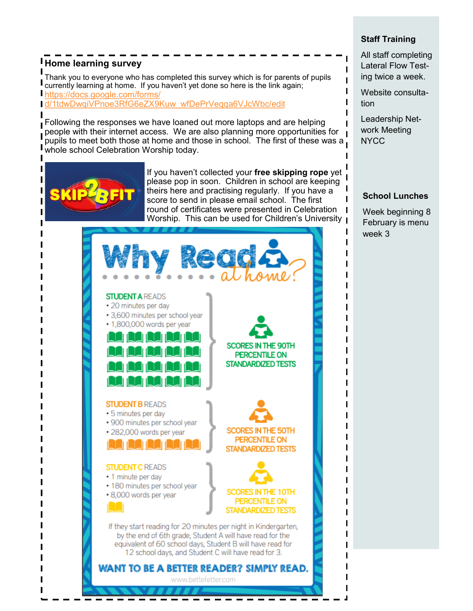# **Home learning survey**

Thank you to everyone who has completed this survey which is for parents of pupils currently learning at home. If you haven't yet done so here is the link again; [https://docs.google.com/forms/](https://docs.google.com/forms/d/1tdwDwqiVPnoe3RfG6eZX9Kuw_wfDePrVeqqa6VJcWbc/edit)

[d/1tdwDwqiVPnoe3RfG6eZX9Kuw\\_wfDePrVeqqa6VJcWbc/edit](https://docs.google.com/forms/d/1tdwDwqiVPnoe3RfG6eZX9Kuw_wfDePrVeqqa6VJcWbc/edit)

Following the responses we have loaned out more laptops and are helping people with their internet access. We are also planning more opportunities for pupils to meet both those at home and those in school. The first of these was a. whole school Celebration Worship today.



If you haven't collected your **free skipping rope** yet please pop in soon. Children in school are keeping theirs here and practising regularly. If you have a score to send in please email school. The first round of certificates were presented in Celebration Worship. This can be used for Children's University  $\blacksquare$ 



**Staff Training**

All staff completing Lateral Flow Testing twice a week.

Website consultation

Leadership Network Meeting **NYCC** 

### **School Lunches**

Week beginning 8 February is menu week 3

I